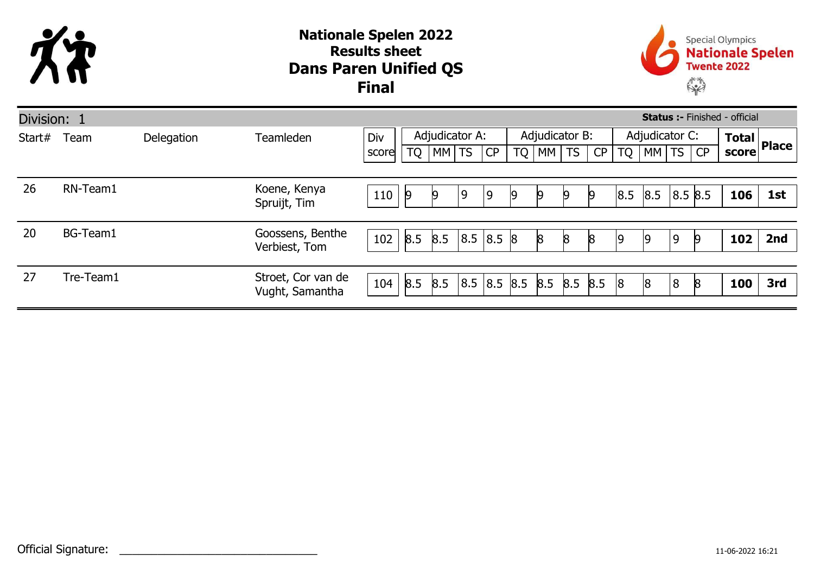

## Dans Paren Unified QS Nationale Spelen 2022 Results sheet Final



| $\frac{1}{2}$ Total Place<br>score |            |
|------------------------------------|------------|
|                                    |            |
|                                    |            |
|                                    |            |
| 106                                | 1st        |
|                                    |            |
|                                    | 2nd        |
|                                    |            |
|                                    |            |
|                                    | 3rd        |
|                                    | 102<br>100 |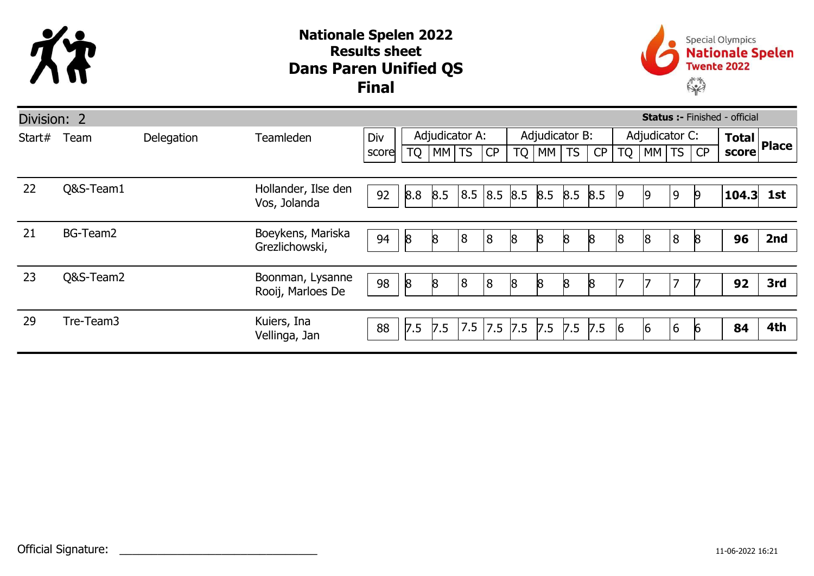

## Dans Paren Unified QS Nationale Spelen 2022 Results sheet Final



| <b>Status :- Finished - official</b><br>Division: 2 |           |            |                                       |       |                |           |     |                |    |                |                 |     |                |    |    |          |                                 |     |
|-----------------------------------------------------|-----------|------------|---------------------------------------|-------|----------------|-----------|-----|----------------|----|----------------|-----------------|-----|----------------|----|----|----------|---------------------------------|-----|
| Start#                                              | Team      | Delegation | <b>Teamleden</b>                      | Div   | Adjudicator A: |           |     |                |    | Adjudicator B: |                 |     | Adjudicator C: |    |    |          | $\overline{\text{Total}}$ Place |     |
|                                                     |           |            |                                       | score | <b>TQ</b>      | $ MM $ TS |     | CP             | TQ | MM             | TS              | CP  | <b>TQ</b>      | MM | TS | CP       | score                           |     |
|                                                     |           |            |                                       |       |                |           |     |                |    |                |                 |     |                |    |    |          |                                 |     |
| 22                                                  | Q&S-Team1 |            | Hollander, Ilse den<br>Vos, Jolanda   | 92    | 8.8            | 8.5       | 8.5 | 8.5 8.5        |    | 8.5            | $8.5$ 8.5       |     | 19             | ١q | 9  | 19       | 104.3                           | 1st |
|                                                     |           |            |                                       |       |                |           |     |                |    |                |                 |     |                |    |    |          |                                 |     |
| 21                                                  | BG-Team2  |            | Boeykens, Mariska<br>Grezlichowski,   | 94    | 8              | 8         | 8   | 8 <sub>1</sub> | 8  | 8              | $8\overline{)}$ | 8   | 18             | 18 | 8  | <b>R</b> | 96                              | 2nd |
|                                                     |           |            |                                       |       |                |           |     |                |    |                |                 |     |                |    |    |          |                                 |     |
| 23                                                  | Q&S-Team2 |            | Boonman, Lysanne<br>Rooij, Marloes De | 98    | 8              | 8         | 8   | 8 <sub>1</sub> | 8  | $\mathsf{8}$   | $\mathsf{8}$    | 8   |                |    | 7  |          | 92                              | 3rd |
|                                                     |           |            |                                       |       |                |           |     |                |    |                |                 |     |                |    |    |          |                                 |     |
| 29                                                  | Tre-Team3 |            | Kuiers, Ina<br>Vellinga, Jan          | 88    | 7.5            | 7.5       | 7.5 | 7.5 7.5        |    | 7.5            | 7.5             | 7.5 | 6              | 16 | 6  | 16       | 84                              | 4th |